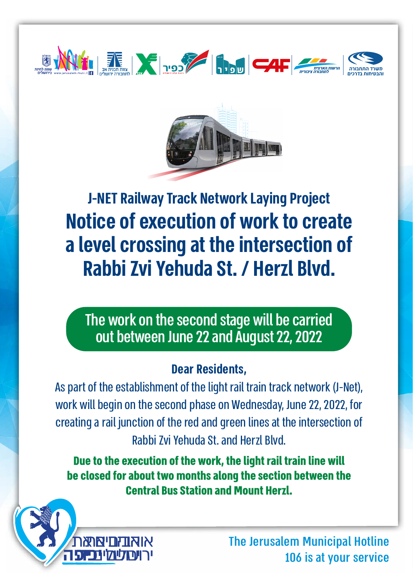



**Notice of execution of work to create a level crossing at the intersection of Rabbi Zvi Yehuda St. / Herzl Blvd. J-NET Railway Track Network Laying Project** 

The work on the second stage will be carried out between June 22 and August 22, 2022

#### **Dear Residents.**

As part of the establishment of the light rail train track network (J-Net). work will begin on the second phase on Wednesday, June 22, 2022, for creating a rail junction of the red and green lines at the intersection of Rabbi 7vi Yehuda St, and Herzl Rlvd

**Due to the execution of the work, the light rail train line will be closed for about two months along the section between the Central Bus Station and Mount Herzl.** 



The Jerusalem Municipal Hotline 106 is at your service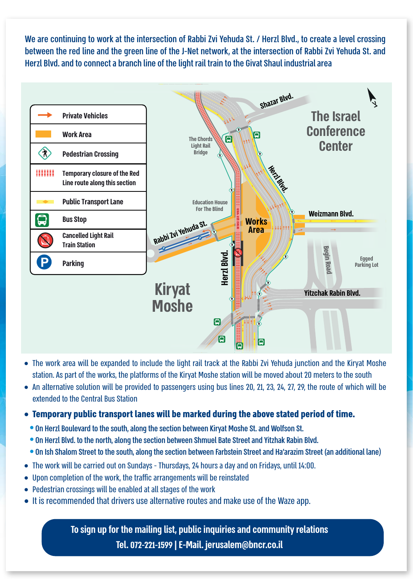We are continuing to work at the intersection of Rabbi Zvi Yehuda St. / Herzl Blvd., to create a level crossing between the red line and the green line of the J-Net network, at the intersection of Rabbi Zvi Yehuda St, and Herzl Blvd, and to connect a branch line of the light rail train to the Givat Shaul industrial area



- $\bullet$  The work area will be expanded to include the light rail track at the Rabbi 7vi Yehuda junction and the Kirvat Moshe station. As part of the works, the platforms of the Kiryat Moshe station will be moved about 20 meters to the south
- An alternative solution will be provided to passengers using bus lines 20, 21, 23, 24, 27, 29, the route of which will be extended to the Central Bus Station
- **.** Temporary public transport lanes will be marked during the above stated period of time.
- . On Herzl Boulevard to the south, along the section between Kiryat Moshe St, and Wolfson St.
- . On Herzl Blvd, to the north, along the section between Shmuel Bate Street and Yitzhak Rabin Blvd ..
- . On Ish Shalom Street to the south, along the section between Farbstein Street and Ha'arazim Street (an additional lane)
- The work will be carried out on Sundays Thursdays, 24 hours a day and on Fridays, until 14:00.
- Upon completion of the work, the traffic arrangements will be reinstated
- Pedestrian crossings will be enabled at all stages of the work
- It is recommended that drivers use alternative routes and make use of the Waze app.

**To sign up for the mailing list, public inquiries and community relations Tel. 072-221-1599 | E-Mail. jerusalem@bncr.co.il**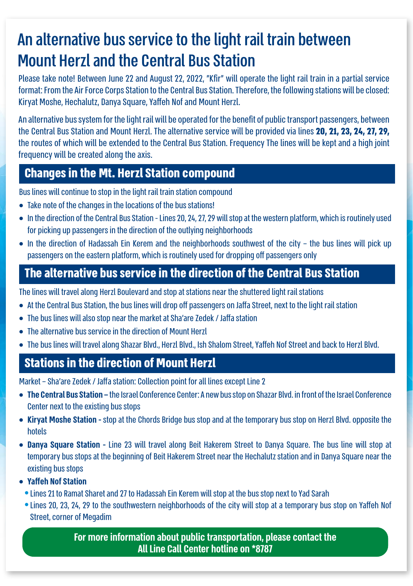# An alternative bus service to the light rail train between **Mount Herzl and the Central Bus Station**

Please take note! Between June 22 and August 22, 2022, "Kfir" will operate the light rail train in a partial service format: From the Air Force Corps Station to the Central Bus Station. Therefore, the following stations will be closed: Kiryat Moshe, Hechalutz, Danya Square, Yaffeh Nof and Mount Herzl.

An alternative bus system for the light rail will be operated for the benefit of public transport passengers, between the Central Bus Station and Mount Herzl. The alternative service will be provided via lines **20, 21, 23, 24, 27, 29,** the routes of which will be extended to the Central Bus Station. Frequency The lines will be kept and a high joint frequency will be created along the axis.

#### **Changes in the Mt. Herzl Station compound**

Bus lines will continue to stop in the light rail train station compound

- Take note of the changes in the locations of the bus stations!
- In the direction of the Central Bus Station Lines 20, 24, 27, 29 will stop at the western platform, which is routinely used for picking up passengers in the direction of the outlying neighborhoods
- $\bullet$  In the direction of Hadassah Ein Kerem and the neighborhoods southwest of the city the bus lines will pick up passengers on the eastern platform, which is routinely used for dropping off passengers only

### **The alternative bus service in the direction of the Central Bus Station**

The lines will travel along Herzl Boulevard and stop at stations near the shuttered light rail stations

- At the Central Bus Station, the bus lines will drop off passengers on Jaffa Street, next to the light rail station
- The bus lines will also stop near the market at Sha'are Zedek / Jaffa station
- $\bullet$  The alternative bus service in the direction of Mount Herzl
- . The bus lines will travel along Shazar Blvd.. Herzl Blvd.. Ish Shalom Street. Yaffeh Nof Street and back to Herzl Blvd.

## **Stations in the direction of Mount Herzl**

Market - Sha'are Zedek / Jaffa station: Collection point for all lines except Line 2

- **The Central Bus Station –** the Israel Conference Center: A new bus stop on Shazar Blvd. in front of the Israel Conference Center next to the existing bus stops
- Kiryat Moshe Station stop at the Chords Bridge bus stop and at the temporary bus stop on Herzl Blvd. opposite the hotels
- Danya Square Station Line 23 will travel along Beit Hakerem Street to Danya Square. The bus line will stop at temporary bus stops at the beginning of Beit Hakerem Street near the Hechalutz station and in Danya Square near the existing bus stops
- **Yaffeh Nof Station**
- Lines 21 to Ramat Sharet and 27 to Hadassah Ein Kerem will stop at the bus stop next to Yad Sarah
- Lines 20, 23, 24, 29 to the southwestern neighborhoods of the city will stop at a temporary bus stop on Yaffeh Nof **Street, corner of Megadim**

For more information about public transportation, please contact the **All Line Call Center hotline on \*8787**